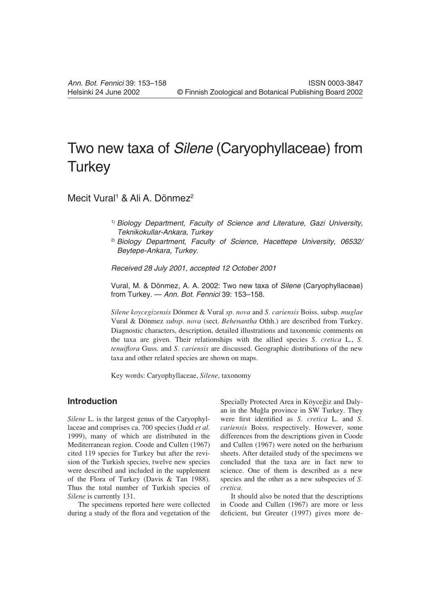# Two new taxa of Silene (Caryophyllaceae) from **Turkey**

## Mecit Vural<sup>1</sup> & Ali A. Dönmez<sup>2</sup>

- <sup>1)</sup> Biology Department, Faculty of Science and Literature, Gazi University, Teknikokullar-Ankara, Turkey
- <sup>2)</sup> Biology Department, Faculty of Science, Hacettepe University, 06532/ Beytepe-Ankara, Turkey.

Received 28 July 2001, accepted 12 October 2001

Vural, M. & Dönmez, A. A. 2002: Two new taxa of Silene (Caryophyllaceae) from Turkey. — Ann. Bot. Fennici 39: 153–158.

*Silene koycegizensis* Dönmez & Vural *sp. nova* and *S. cariensis* Boiss. subsp. *muglae* Vural & Dönmez *subsp. nova* (sect. *Behenantha* Othh.) are described from Turkey. Diagnostic characters, description, detailed illustrations and taxonomic comments on the taxa are given. Their relationships with the allied species *S. cretica* L., *S. tenuiflora* Guss. and *S. cariensis* are discussed. Geographic distributions of the new taxa and other related species are shown on maps.

Key words: Caryophyllaceae, *Silene*, taxonomy

### **Introduction**

*Silene* L. is the largest genus of the Caryophyllaceae and comprises ca. 700 species (Judd *et al*. 1999), many of which are distributed in the Mediterranean region. Coode and Cullen (1967) cited 119 species for Turkey but after the revision of the Turkish species, twelve new species were described and included in the supplement of the Flora of Turkey (Davis & Tan 1988). Thus the total number of Turkish species of *Silene* is currently 131.

The specimens reported here were collected during a study of the flora and vegetation of the Specially Protected Area in Köyceğiz and Dalyan in the Muâla province in SW Turkey. They were first identified as *S. cretica* L. and *S. cariensis* Boiss. respectively. However, some differences from the descriptions given in Coode and Cullen (1967) were noted on the herbarium sheets. After detailed study of the specimens we concluded that the taxa are in fact new to science. One of them is described as a new species and the other as a new subspecies of *S. cretica.*

It should also be noted that the descriptions in Coode and Cullen (1967) are more or less deficient, but Greuter (1997) gives more de-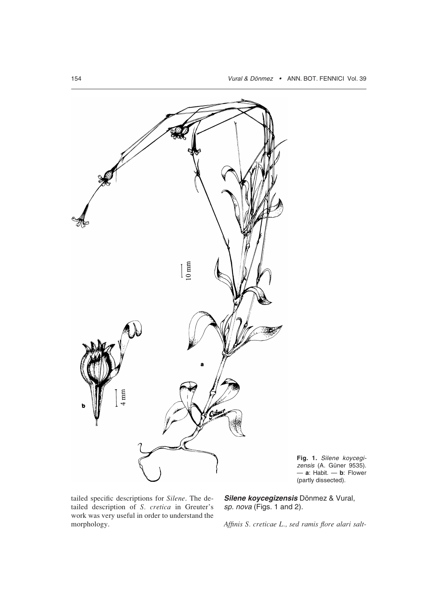

**Fig. 1.** Silene koycegizensis (A. Güner 9535). — **a**: Habit. — **b**: Flower (partly dissected).

tailed specific descriptions for *Silene*. The detailed description of *S. cretica* in Greuter's work was very useful in order to understand the morphology.

**Silene koycegizensis** Dönmez & Vural, sp. nova (Figs. 1 and 2).

*Affinis S. creticae L., sed ramis flore alari salt-*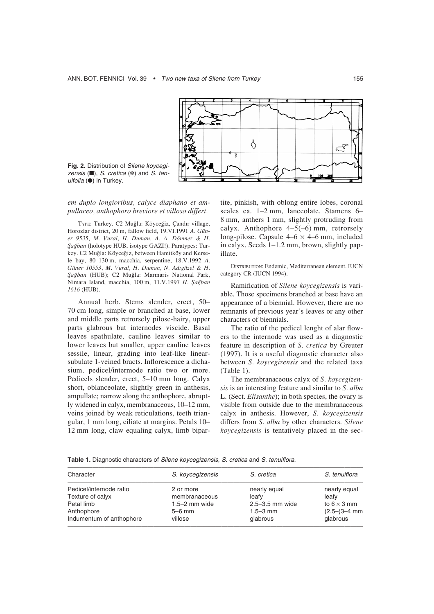

**Fig. 2.** Distribution of Silene koycegizensis  $(\blacksquare)$ , S. cretica  $(*)$  and S. tenuifolia (●) in Turkey.

*em duplo longioribus, calyce diaphano et ampullaceo, anthophoro breviore et villoso differt.*

TYPE: Turkey. C2 Muâla: Köyceâiz, Çandır village, Horozlar district, 20 m, fallow field, 19.VI.1991 *A. Güner 9535*, *M. Vural, H. Duman, A. A. Dönmez & H. Ñaâban* (holotype HUB, isotype GAZI!). Paratypes: Turkey. C2 Muğla: Köyceğiz, between Hamitköy and Kersele bay, 80–130 m, macchia, serpentine, 18.V.1992 *A. Güner 10553*, *M. Vural, H. Duman, N. Adıgüzel & H. Ñaâban* (HUB); C2 Muâla: Marmaris National Park, Nimara Island, macchia, 100 m, 11.V.1997 *H. Ñaâban 1616* (HUB).

Annual herb. Stems slender, erect, 50– 70 cm long, simple or branched at base, lower and middle parts retrorsely pilose-hairy, upper parts glabrous but internodes viscide. Basal leaves spathulate, cauline leaves similar to lower leaves but smaller, upper cauline leaves sessile, linear, grading into leaf-like linearsubulate 1-veined bracts. Inflorescence a dichasium, pedicel/intermode ratio two or more. Pedicels slender, erect, 5–10 mm long. Calyx short, oblanceolate, slightly green in anthesis, ampullate; narrow along the anthophore, abruptly widened in calyx, membranaceous, 10–12 mm, veins joined by weak reticulations, teeth triangular, 1 mm long, ciliate at margins. Petals 10– 12 mm long, claw equaling calyx, limb bipartite, pinkish, with oblong entire lobes, coronal scales ca. 1–2 mm, lanceolate. Stamens 6– 8 mm, anthers 1 mm, slightly protruding from calyx. Anthophore  $4-5(-6)$  mm, retrorsely long-pilose. Capsule  $4-6 \times 4-6$  mm, included in calyx. Seeds 1–1.2 mm, brown, slightly papillate.

DISTRIBUTION: Endemic, Mediterranean element. IUCN category CR (IUCN 1994).

Ramification of *Silene koycegizensis* is variable. Those specimens branched at base have an appearance of a biennial. However, there are no remnants of previous year's leaves or any other characters of biennials.

The ratio of the pedicel lenght of alar flowers to the internode was used as a diagnostic feature in description of *S. cretica* by Greuter (1997). It is a useful diagnostic character also between *S. koycegizensis* and the related taxa (Table 1).

The membranaceous calyx of *S. koycegizensis* is an interesting feature and similar to *S. alba* L. (Sect. *Elisanthe*); in both species, the ovary is visible from outside due to the membranaceous calyx in anthesis. However, *S. koycegizensis* differs from *S. alba* by other characters. *Silene koycegizensis* is tentatively placed in the sec-

**Table 1.** Diagnostic characters of Silene koycegizensis, S. cretica and S. tenuiflora.

| Character                | S. koycegizensis  | S. cretica      | S. tenuiflora      |
|--------------------------|-------------------|-----------------|--------------------|
| Pedicel/internode ratio  | 2 or more         | nearly equal    | nearly equal       |
| Texture of calyx         | membranaceous     | leafv           | leafv              |
| Petal limb               | $1.5 - 2$ mm wide | 2.5-3.5 mm wide | to $6 \times 3$ mm |
| Anthophore               | $5-6$ mm          | $1.5 - 3$ mm    | $(2.5-)3-4$ mm     |
| Indumentum of anthophore | villose           | glabrous        | glabrous           |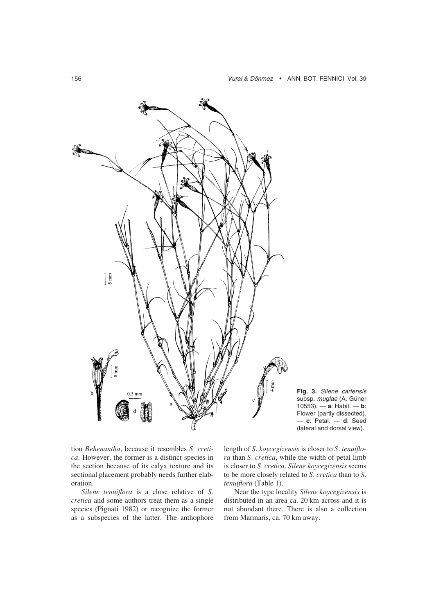



tion *Behenantha*, because it resembles *S. cretica*. However, the former is a distinct species in the section because of its calyx texture and its sectional placement probably needs further elaboration.

*Silene tenuiflora* is a close relative of *S. cretica* and some authors treat them as a single species (Pignati 1982) or recognize the former as a subspecies of the latter. The anthophore

length of *S. koycegizensis* is closer to *S. tenuiflora* than *S. cretica*, while the width of petal limb is closer to *S. cretica*. *Silene koycegizensis* seems to be more closely related to *S. cretica* than to *S. tenuiflora* (Table 1).

Near the type locality *Silene koycegizensis* is distributed in an area ca. 20 km across and it is not abundant there. There is also a collection from Marmaris, ca. 70 km away.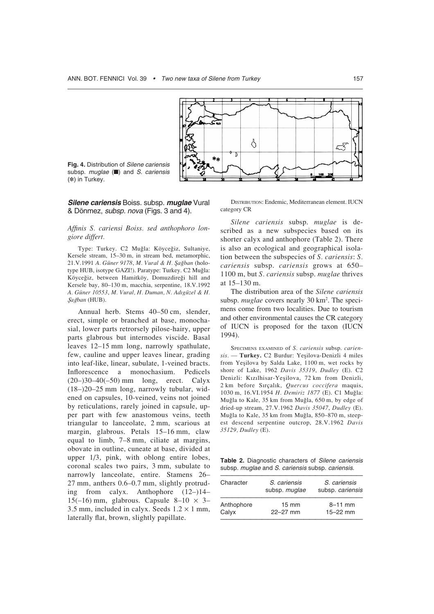

**Fig. 4.** Distribution of Silene cariensis subsp. *muglae* (■) and S. cariensis (✽) in Turkey.

**Silene cariensis** Boiss. subsp. **muglae** Vural & Dönmez, subsp. nova (Figs. 3 and 4).

#### *Affinis S. cariensi Boiss. sed anthophoro longiore differt.*

Type: Turkey. C2 Muâla: Köyceâiz, Sultaniye, Kersele stream, 15–30 m, in stream bed, metamorphic, 21.V.1991 *A. Güner 9178*, *M. Vural & H. Ñaâban* (holotype HUB, isotype GAZI!). Paratype: Turkey. C2 Muğla: Köyceâiz, between Hamitköy, Domuzdireâi hill and Kersele bay, 80–130 m, macchia, serpentine, 18.V.1992 *A. Güner 10553*, *M. Vural, H. Duman, N. Adıgüzel & H. Ñaâban* (HUB).

Annual herb. Stems 40–50 cm, slender, erect, simple or branched at base, monochasial, lower parts retrorsely pilose-hairy, upper parts glabrous but internodes viscide. Basal leaves 12–15 mm long, narrowly spathulate, few, cauline and upper leaves linear, grading into leaf-like, linear, subulate, 1-veined bracts. Inflorescence a monochasium. Pedicels  $(20-)30-40(-50)$  mm long, erect. Calyx (18–)20–25 mm long, narrowly tubular, widened on capsules, 10-veined, veins not joined by reticulations, rarely joined in capsule, upper part with few anastomous veins, teeth triangular to lanceolate, 2 mm, scarious at margin, glabrous. Petals 15–16 mm, claw equal to limb, 7–8 mm, ciliate at margins, obovate in outline, cuneate at base, divided at upper 1/3, pink, with oblong entire lobes, coronal scales two pairs, 3 mm, subulate to narrowly lanceolate, entire. Stamens 26– 27 mm, anthers 0.6–0.7 mm, slightly protruding from calyx. Anthophore (12–)14– 15(-16) mm, glabrous. Capsule 8-10  $\times$  3-3.5 mm, included in calyx. Seeds  $1.2 \times 1$  mm, laterally flat, brown, slightly papillate.

DISTRIBUTION: Endemic, Mediterranean element. IUCN category CR

*Silene cariensis* subsp. *muglae* is described as a new subspecies based on its shorter calyx and anthophore (Table 2). There is also an ecological and geographical isolation between the subspecies of *S. cariensis*: *S. cariensis* subsp. *cariensis* grows at 650– 1100 m, but *S. cariensis* subsp. *muglae* thrives at 15–130 m.

The distribution area of the *Silene cariensis* subsp. *muglae* covers nearly 30 km<sup>2</sup>. The specimens come from two localities. Due to tourism and other environmental causes the CR category of IUCN is proposed for the taxon (IUCN 1994).

SPECIMENS EXAMINED of *S. cariensis* subsp. *carien* $sis.$  **Turkey.** C2 Burdur: Yeşilova-Denizli 4 miles from Yeşilova by Salda Lake, 1100 m, wet rocks by shore of Lake, 1962 *Davis 35319*, *Dudley* (E). C2 Denizli: Kızılhisar-Yeşilova, 72 km from Denizli, 2 km before Sırçalık, *Quercus coccifera* maquis, 1030 m, 16.VI.1954 *H. Demiriz 1877* (E). C1 Muâla: Muâla to Kale, 35 km from Muâla, 650 m, by edge of dried-up stream, 27.V.1962 *Davis 35047*, *Dudley* (E). Muâla to Kale, 35 km from Muâla, 850–870 m, steepest descend serpentine outcrop, 28.V.1962 *Davis 35129, Dudley* (E).

Table 2. Diagnostic characters of Silene cariensis subsp. muglae and S. cariensis subsp. cariensis.

| Character  | S. cariensis<br>subsp. muglae | S. cariensis<br>subsp. cariensis |
|------------|-------------------------------|----------------------------------|
| Anthophore | $15 \text{ mm}$               | $8 - 11$ mm                      |
| Calyx      | $22 - 27$ mm                  | $15 - 22$ mm                     |